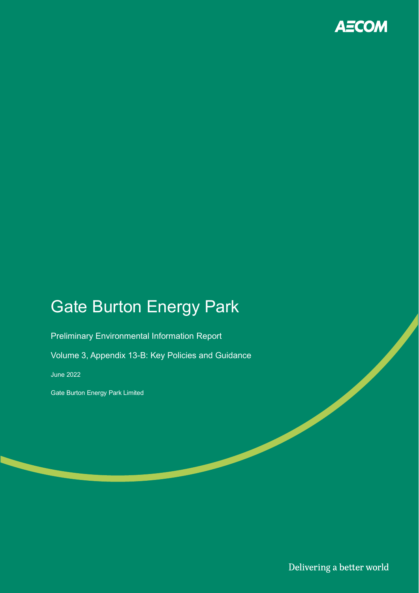

## Gate Burton Energy Park

Preliminary Environmental Information Report

Volume 3, Appendix 13-B: Key Policies and Guidance

June 2022

Gate Burton Energy Park Limited

Delivering a better world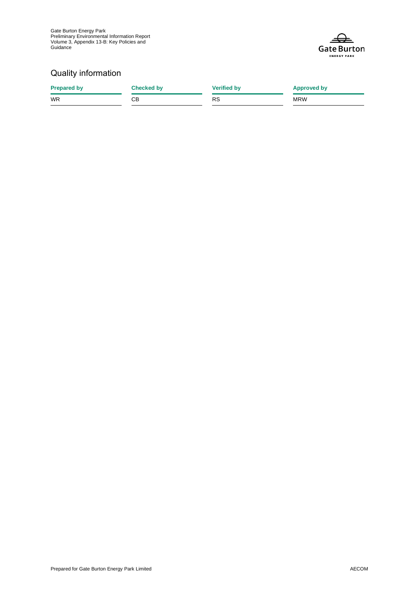Gate Burton Energy Park Preliminary Environmental Information Report Volume 3, Appendix 13-B: Key Policies and Guidance



#### Quality information

**Prepared by Checked by Checked by Verified by Approved by** WR CB RS MRW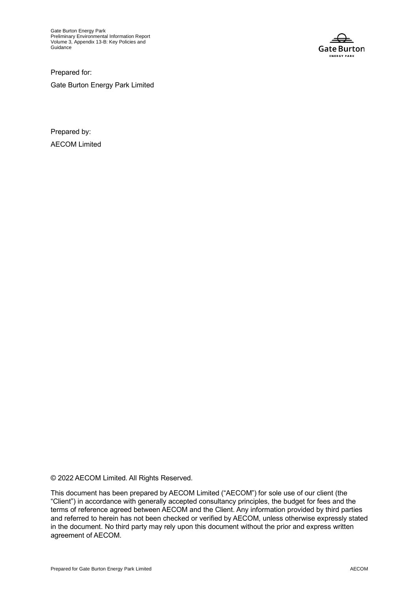Gate Burton Energy Park Preliminary Environmental Information Report Volume 3, Appendix 13-B: Key Policies and **Guidance** 



Prepared for: Gate Burton Energy Park Limited

Prepared by: AECOM Limited

© 2022 AECOM Limited. All Rights Reserved.

This document has been prepared by AECOM Limited ("AECOM") for sole use of our client (the "Client") in accordance with generally accepted consultancy principles, the budget for fees and the terms of reference agreed between AECOM and the Client. Any information provided by third parties and referred to herein has not been checked or verified by AECOM, unless otherwise expressly stated in the document. No third party may rely upon this document without the prior and express written agreement of AECOM.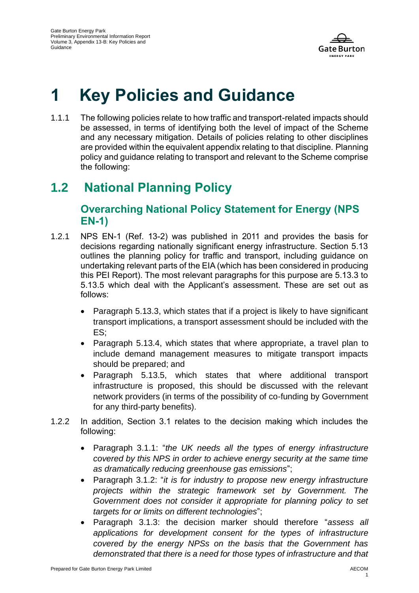

# **1 Key Policies and Guidance**

1.1.1 The following policies relate to how traffic and transport-related impacts should be assessed, in terms of identifying both the level of impact of the Scheme and any necessary mitigation. Details of policies relating to other disciplines are provided within the equivalent appendix relating to that discipline. Planning policy and guidance relating to transport and relevant to the Scheme comprise the following:

## **1.2 National Planning Policy**

#### **Overarching National Policy Statement for Energy (NPS EN-1)**

- 1.2.1 NPS EN-1 (Ref. 13-2) was published in 2011 and provides the basis for decisions regarding nationally significant energy infrastructure. Section 5.13 outlines the planning policy for traffic and transport, including guidance on undertaking relevant parts of the EIA (which has been considered in producing this PEI Report). The most relevant paragraphs for this purpose are 5.13.3 to 5.13.5 which deal with the Applicant's assessment. These are set out as follows:
	- Paragraph 5.13.3, which states that if a project is likely to have significant transport implications, a transport assessment should be included with the ES;
	- Paragraph 5.13.4, which states that where appropriate, a travel plan to include demand management measures to mitigate transport impacts should be prepared; and
	- Paragraph 5.13.5, which states that where additional transport infrastructure is proposed, this should be discussed with the relevant network providers (in terms of the possibility of co-funding by Government for any third-party benefits).
- 1.2.2 In addition, Section 3.1 relates to the decision making which includes the following:
	- Paragraph 3.1.1: "*the UK needs all the types of energy infrastructure covered by this NPS in order to achieve energy security at the same time as dramatically reducing greenhouse gas emissions*";
	- Paragraph 3.1.2: "*it is for industry to propose new energy infrastructure projects within the strategic framework set by Government. The Government does not consider it appropriate for planning policy to set targets for or limits on different technologies*";
	- Paragraph 3.1.3: the decision marker should therefore "*assess all applications for development consent for the types of infrastructure covered by the energy NPSs on the basis that the Government has demonstrated that there is a need for those types of infrastructure and that*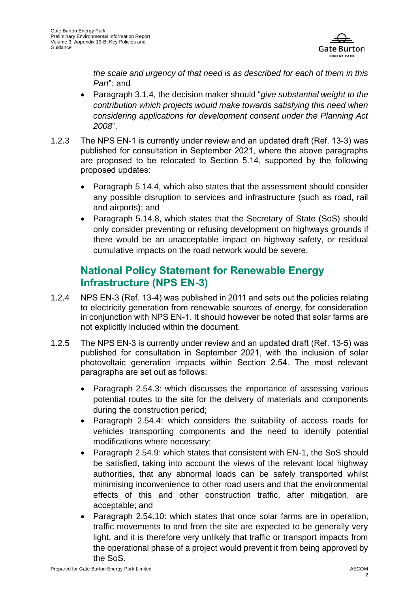

*the scale and urgency of that need is as described for each of them in this Part*"; and

- Paragraph 3.1.4, the decision maker should "*give substantial weight to the contribution which projects would make towards satisfying this need when considering applications for development consent under the Planning Act 2008*".
- 1.2.3 The NPS EN-1 is currently under review and an updated draft (Ref. 13-3) was published for consultation in September 2021, where the above paragraphs are proposed to be relocated to Section 5.14, supported by the following proposed updates:
	- Paragraph 5.14.4, which also states that the assessment should consider any possible disruption to services and infrastructure (such as road, rail and airports); and
	- Paragraph 5.14.8, which states that the Secretary of State (SoS) should only consider preventing or refusing development on highways grounds if there would be an unacceptable impact on highway safety, or residual cumulative impacts on the road network would be severe.

#### **National Policy Statement for Renewable Energy Infrastructure (NPS EN-3)**

- 1.2.4 NPS EN-3 (Ref. 13-4) was published in 2011 and sets out the policies relating to electricity generation from renewable sources of energy, for consideration in conjunction with NPS EN-1. It should however be noted that solar farms are not explicitly included within the document.
- 1.2.5 The NPS EN-3 is currently under review and an updated draft (Ref. 13-5) was published for consultation in September 2021, with the inclusion of solar photovoltaic generation impacts within Section 2.54. The most relevant paragraphs are set out as follows:
	- Paragraph 2.54.3: which discusses the importance of assessing various potential routes to the site for the delivery of materials and components during the construction period;
	- Paragraph 2.54.4: which considers the suitability of access roads for vehicles transporting components and the need to identify potential modifications where necessary;
	- Paragraph 2.54.9: which states that consistent with EN-1, the SoS should be satisfied, taking into account the views of the relevant local highway authorities, that any abnormal loads can be safely transported whilst minimising inconvenience to other road users and that the environmental effects of this and other construction traffic, after mitigation, are acceptable; and
	- Paragraph 2.54.10: which states that once solar farms are in operation, traffic movements to and from the site are expected to be generally very light, and it is therefore very unlikely that traffic or transport impacts from the operational phase of a project would prevent it from being approved by the SoS.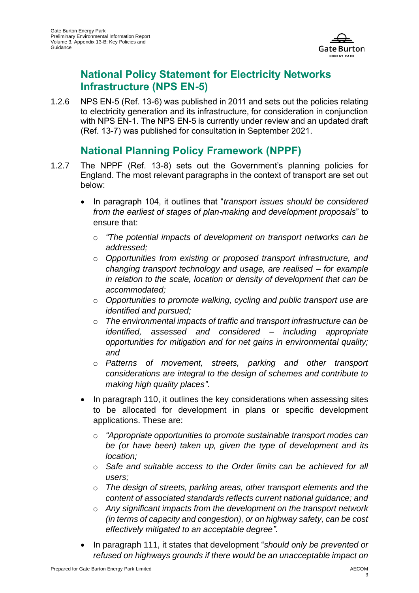

#### **National Policy Statement for Electricity Networks Infrastructure (NPS EN-5)**

1.2.6 NPS EN-5 (Ref. 13-6) was published in 2011 and sets out the policies relating to electricity generation and its infrastructure, for consideration in conjunction with NPS EN-1. The NPS EN-5 is currently under review and an updated draft (Ref. 13-7) was published for consultation in September 2021.

#### **National Planning Policy Framework (NPPF)**

- 1.2.7 The NPPF (Ref. 13-8) sets out the Government's planning policies for England. The most relevant paragraphs in the context of transport are set out below:
	- In paragraph 104, it outlines that "*transport issues should be considered from the earliest of stages of plan-making and development proposals*" to ensure that:
		- o *"The potential impacts of development on transport networks can be addressed;*
		- o *Opportunities from existing or proposed transport infrastructure, and changing transport technology and usage, are realised – for example in relation to the scale, location or density of development that can be accommodated;*
		- o *Opportunities to promote walking, cycling and public transport use are identified and pursued;*
		- o *The environmental impacts of traffic and transport infrastructure can be identified, assessed and considered – including appropriate opportunities for mitigation and for net gains in environmental quality; and*
		- o *Patterns of movement, streets, parking and other transport considerations are integral to the design of schemes and contribute to making high quality places".*
	- In paragraph 110, it outlines the key considerations when assessing sites to be allocated for development in plans or specific development applications. These are:
		- o *"Appropriate opportunities to promote sustainable transport modes can be (or have been) taken up, given the type of development and its location;*
		- o *Safe and suitable access to the Order limits can be achieved for all users;*
		- o *The design of streets, parking areas, other transport elements and the content of associated standards reflects current national guidance; and*
		- o *Any significant impacts from the development on the transport network (in terms of capacity and congestion), or on highway safety, can be cost effectively mitigated to an acceptable degree".*
	- In paragraph 111, it states that development "*should only be prevented or refused on highways grounds if there would be an unacceptable impact on*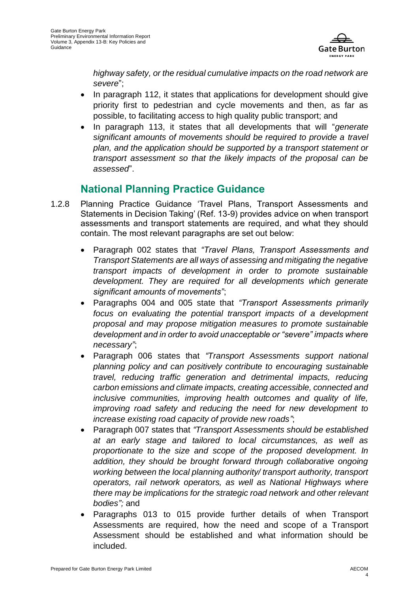

*highway safety, or the residual cumulative impacts on the road network are severe*";

- In paragraph 112, it states that applications for development should give priority first to pedestrian and cycle movements and then, as far as possible, to facilitating access to high quality public transport; and
- In paragraph 113, it states that all developments that will "*generate significant amounts of movements should be required to provide a travel plan, and the application should be supported by a transport statement or transport assessment so that the likely impacts of the proposal can be assessed*".

#### **National Planning Practice Guidance**

- 1.2.8 Planning Practice Guidance 'Travel Plans, Transport Assessments and Statements in Decision Taking' (Ref. 13-9) provides advice on when transport assessments and transport statements are required, and what they should contain. The most relevant paragraphs are set out below:
	- Paragraph 002 states that *"Travel Plans, Transport Assessments and Transport Statements are all ways of assessing and mitigating the negative transport impacts of development in order to promote sustainable development. They are required for all developments which generate significant amounts of movements"*;
	- Paragraphs 004 and 005 state that *"Transport Assessments primarily focus on evaluating the potential transport impacts of a development proposal and may propose mitigation measures to promote sustainable development and in order to avoid unacceptable or "severe" impacts where necessary"*;
	- Paragraph 006 states that *"Transport Assessments support national planning policy and can positively contribute to encouraging sustainable travel, reducing traffic generation and detrimental impacts, reducing carbon emissions and climate impacts, creating accessible, connected and inclusive communities, improving health outcomes and quality of life, improving road safety and reducing the need for new development to increase existing road capacity of provide new roads"*;
	- Paragraph 007 states that *"Transport Assessments should be established at an early stage and tailored to local circumstances, as well as proportionate to the size and scope of the proposed development. In addition, they should be brought forward through collaborative ongoing working between the local planning authority/ transport authority, transport operators, rail network operators, as well as National Highways where there may be implications for the [strategic road network](https://www.gov.uk/government/publications/strategic-road-network-and-the-delivery-of-sustainable-development) and other relevant bodies";* and
	- Paragraphs 013 to 015 provide further details of when Transport Assessments are required, how the need and scope of a Transport Assessment should be established and what information should be included.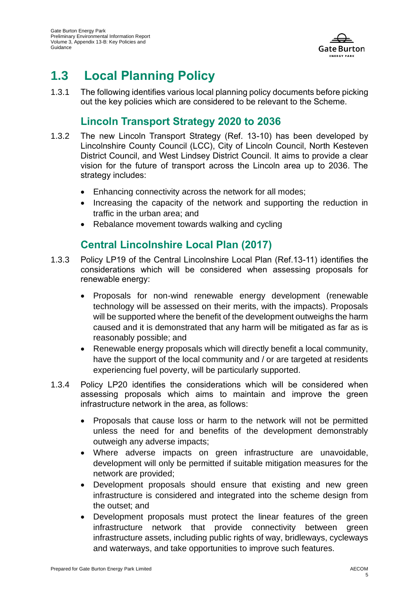

## **1.3 Local Planning Policy**

1.3.1 The following identifies various local planning policy documents before picking out the key policies which are considered to be relevant to the Scheme.

#### **Lincoln Transport Strategy 2020 to 2036**

- 1.3.2 The new Lincoln Transport Strategy (Ref. 13-10) has been developed by Lincolnshire County Council (LCC), City of Lincoln Council, North Kesteven District Council, and West Lindsey District Council. It aims to provide a clear vision for the future of transport across the Lincoln area up to 2036. The strategy includes:
	- Enhancing connectivity across the network for all modes;
	- Increasing the capacity of the network and supporting the reduction in traffic in the urban area; and
	- Rebalance movement towards walking and cycling

#### **Central Lincolnshire Local Plan (2017)**

- 1.3.3 Policy LP19 of the Central Lincolnshire Local Plan (Ref.13-11) identifies the considerations which will be considered when assessing proposals for renewable energy:
	- Proposals for non-wind renewable energy development (renewable technology will be assessed on their merits, with the impacts). Proposals will be supported where the benefit of the development outweighs the harm caused and it is demonstrated that any harm will be mitigated as far as is reasonably possible; and
	- Renewable energy proposals which will directly benefit a local community, have the support of the local community and / or are targeted at residents experiencing fuel poverty, will be particularly supported.
- 1.3.4 Policy LP20 identifies the considerations which will be considered when assessing proposals which aims to maintain and improve the green infrastructure network in the area, as follows:
	- Proposals that cause loss or harm to the network will not be permitted unless the need for and benefits of the development demonstrably outweigh any adverse impacts;
	- Where adverse impacts on green infrastructure are unavoidable, development will only be permitted if suitable mitigation measures for the network are provided;
	- Development proposals should ensure that existing and new green infrastructure is considered and integrated into the scheme design from the outset; and
	- Development proposals must protect the linear features of the green infrastructure network that provide connectivity between green infrastructure assets, including public rights of way, bridleways, cycleways and waterways, and take opportunities to improve such features.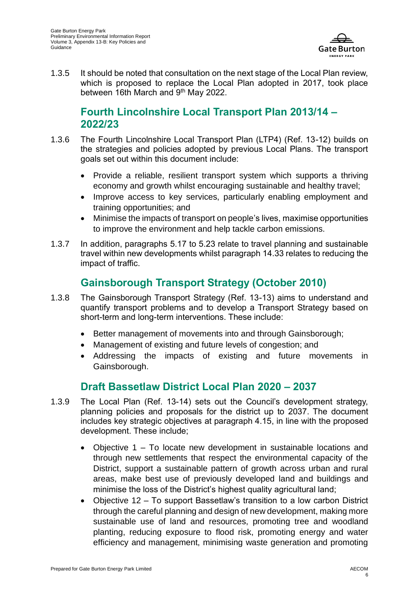

1.3.5 It should be noted that consultation on the next stage of the Local Plan review, which is proposed to replace the Local Plan adopted in 2017, took place between 16th March and 9<sup>th</sup> May 2022.

#### **Fourth Lincolnshire Local Transport Plan 2013/14 – 2022/23**

- 1.3.6 The Fourth Lincolnshire Local Transport Plan (LTP4) (Ref. 13-12) builds on the strategies and policies adopted by previous Local Plans. The transport goals set out within this document include:
	- Provide a reliable, resilient transport system which supports a thriving economy and growth whilst encouraging sustainable and healthy travel;
	- Improve access to key services, particularly enabling employment and training opportunities; and
	- Minimise the impacts of transport on people's lives, maximise opportunities to improve the environment and help tackle carbon emissions.
- 1.3.7 In addition, paragraphs 5.17 to 5.23 relate to travel planning and sustainable travel within new developments whilst paragraph 14.33 relates to reducing the impact of traffic.

#### **Gainsborough Transport Strategy (October 2010)**

- 1.3.8 The Gainsborough Transport Strategy (Ref. 13-13) aims to understand and quantify transport problems and to develop a Transport Strategy based on short-term and long-term interventions. These include:
	- Better management of movements into and through Gainsborough;
	- Management of existing and future levels of congestion; and
	- Addressing the impacts of existing and future movements in Gainsborough.

#### **Draft Bassetlaw District Local Plan 2020 – 2037**

- 1.3.9 The Local Plan (Ref. 13-14) sets out the Council's development strategy, planning policies and proposals for the district up to 2037. The document includes key strategic objectives at paragraph 4.15, in line with the proposed development. These include;
	- Objective 1 To locate new development in sustainable locations and through new settlements that respect the environmental capacity of the District, support a sustainable pattern of growth across urban and rural areas, make best use of previously developed land and buildings and minimise the loss of the District's highest quality agricultural land;
	- Objective 12 To support Bassetlaw's transition to a low carbon District through the careful planning and design of new development, making more sustainable use of land and resources, promoting tree and woodland planting, reducing exposure to flood risk, promoting energy and water efficiency and management, minimising waste generation and promoting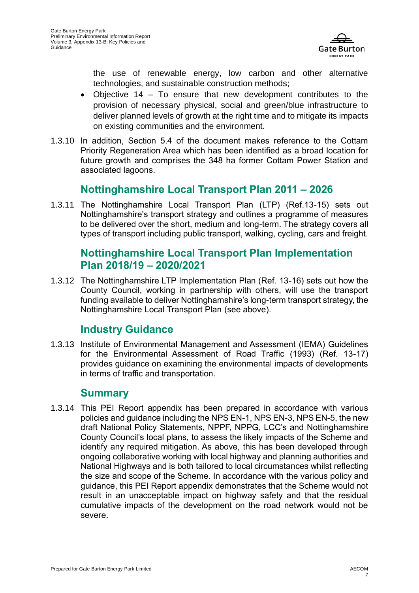

the use of renewable energy, low carbon and other alternative technologies, and sustainable construction methods;

- Objective 14 To ensure that new development contributes to the provision of necessary physical, social and green/blue infrastructure to deliver planned levels of growth at the right time and to mitigate its impacts on existing communities and the environment.
- 1.3.10 In addition, Section 5.4 of the document makes reference to the Cottam Priority Regeneration Area which has been identified as a broad location for future growth and comprises the 348 ha former Cottam Power Station and associated lagoons.

#### **Nottinghamshire Local Transport Plan 2011 – 2026**

1.3.11 The Nottinghamshire Local Transport Plan (LTP) (Ref.13-15) sets out Nottinghamshire's transport strategy and outlines a programme of measures to be delivered over the short, medium and long-term. The strategy covers all types of transport including public transport, walking, cycling, cars and freight.

#### **Nottinghamshire Local Transport Plan Implementation Plan 2018/19 – 2020/2021**

1.3.12 The Nottinghamshire LTP Implementation Plan (Ref. 13-16) sets out how the County Council, working in partnership with others, will use the transport funding available to deliver Nottinghamshire's long-term transport strategy, the Nottinghamshire Local Transport Plan (see above).

#### **Industry Guidance**

1.3.13 Institute of Environmental Management and Assessment (IEMA) Guidelines for the Environmental Assessment of Road Traffic (1993) (Ref. 13-17) provides guidance on examining the environmental impacts of developments in terms of traffic and transportation.

#### **Summary**

1.3.14 This PEI Report appendix has been prepared in accordance with various policies and guidance including the NPS EN-1, NPS EN-3, NPS EN-5, the new draft National Policy Statements, NPPF, NPPG, LCC's and Nottinghamshire County Council's local plans, to assess the likely impacts of the Scheme and identify any required mitigation. As above, this has been developed through ongoing collaborative working with local highway and planning authorities and National Highways and is both tailored to local circumstances whilst reflecting the size and scope of the Scheme. In accordance with the various policy and guidance, this PEI Report appendix demonstrates that the Scheme would not result in an unacceptable impact on highway safety and that the residual cumulative impacts of the development on the road network would not be severe.